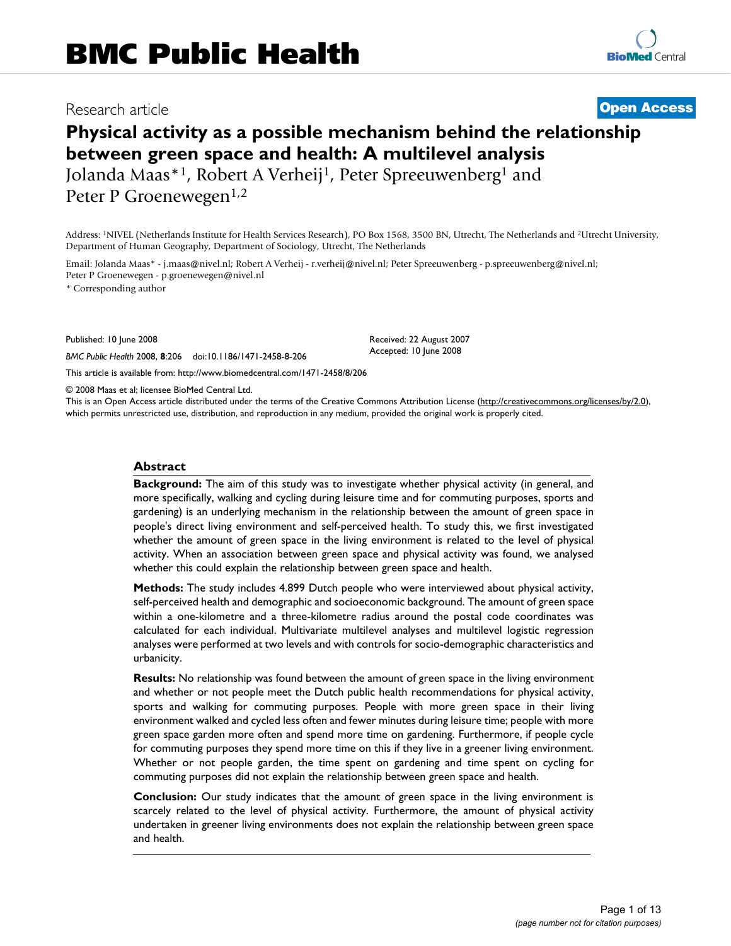## Research article **[Open Access](http://www.biomedcentral.com/info/about/charter/)**

# **Physical activity as a possible mechanism behind the relationship between green space and health: A multilevel analysis**

Jolanda Maas<sup>\*1</sup>, Robert A Verheij<sup>1</sup>, Peter Spreeuwenberg<sup>1</sup> and Peter P Groenewegen<sup>1,2</sup>

Address: 1NIVEL (Netherlands Institute for Health Services Research), PO Box 1568, 3500 BN, Utrecht, The Netherlands and 2Utrecht University, Department of Human Geography, Department of Sociology, Utrecht, The Netherlands

Email: Jolanda Maas\* - j.maas@nivel.nl; Robert A Verheij - r.verheij@nivel.nl; Peter Spreeuwenberg - p.spreeuwenberg@nivel.nl; Peter P Groenewegen - p.groenewegen@nivel.nl

\* Corresponding author

Published: 10 June 2008

*BMC Public Health* 2008, **8**:206 doi:10.1186/1471-2458-8-206

[This article is available from: http://www.biomedcentral.com/1471-2458/8/206](http://www.biomedcentral.com/1471-2458/8/206)

© 2008 Maas et al; licensee BioMed Central Ltd.

This is an Open Access article distributed under the terms of the Creative Commons Attribution License [\(http://creativecommons.org/licenses/by/2.0\)](http://creativecommons.org/licenses/by/2.0), which permits unrestricted use, distribution, and reproduction in any medium, provided the original work is properly cited.

Received: 22 August 2007 Accepted: 10 June 2008

#### **Abstract**

**Background:** The aim of this study was to investigate whether physical activity (in general, and more specifically, walking and cycling during leisure time and for commuting purposes, sports and gardening) is an underlying mechanism in the relationship between the amount of green space in people's direct living environment and self-perceived health. To study this, we first investigated whether the amount of green space in the living environment is related to the level of physical activity. When an association between green space and physical activity was found, we analysed whether this could explain the relationship between green space and health.

**Methods:** The study includes 4.899 Dutch people who were interviewed about physical activity, self-perceived health and demographic and socioeconomic background. The amount of green space within a one-kilometre and a three-kilometre radius around the postal code coordinates was calculated for each individual. Multivariate multilevel analyses and multilevel logistic regression analyses were performed at two levels and with controls for socio-demographic characteristics and urbanicity.

**Results:** No relationship was found between the amount of green space in the living environment and whether or not people meet the Dutch public health recommendations for physical activity, sports and walking for commuting purposes. People with more green space in their living environment walked and cycled less often and fewer minutes during leisure time; people with more green space garden more often and spend more time on gardening. Furthermore, if people cycle for commuting purposes they spend more time on this if they live in a greener living environment. Whether or not people garden, the time spent on gardening and time spent on cycling for commuting purposes did not explain the relationship between green space and health.

**Conclusion:** Our study indicates that the amount of green space in the living environment is scarcely related to the level of physical activity. Furthermore, the amount of physical activity undertaken in greener living environments does not explain the relationship between green space and health.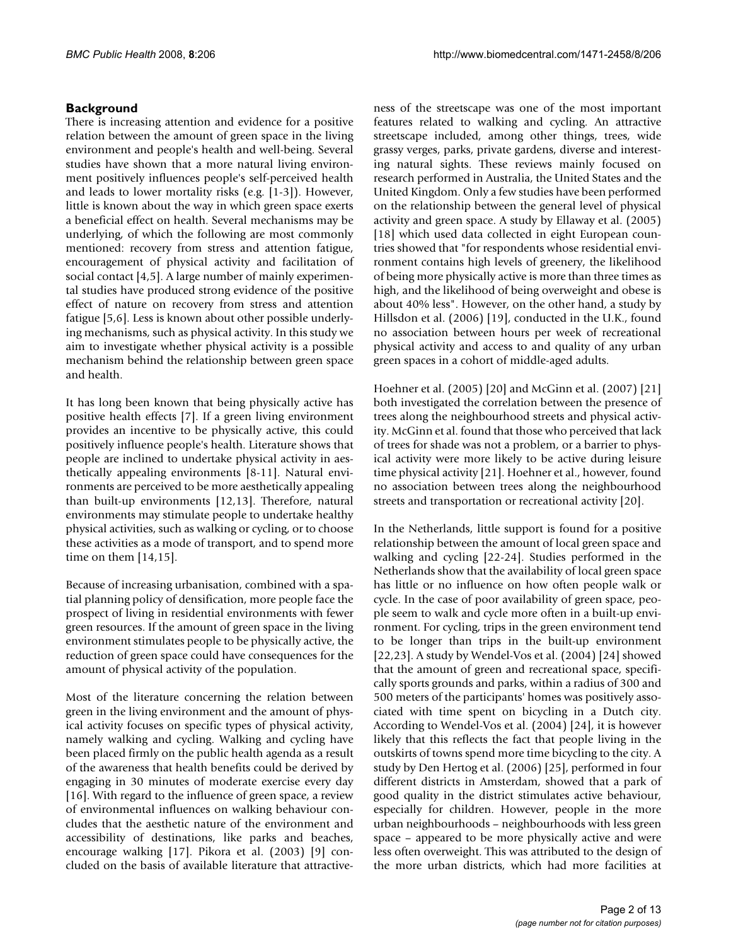## **Background**

There is increasing attention and evidence for a positive relation between the amount of green space in the living environment and people's health and well-being. Several studies have shown that a more natural living environment positively influences people's self-perceived health and leads to lower mortality risks (e.g. [1-3]). However, little is known about the way in which green space exerts a beneficial effect on health. Several mechanisms may be underlying, of which the following are most commonly mentioned: recovery from stress and attention fatigue, encouragement of physical activity and facilitation of social contact [4,5]. A large number of mainly experimental studies have produced strong evidence of the positive effect of nature on recovery from stress and attention fatigue [5,6]. Less is known about other possible underlying mechanisms, such as physical activity. In this study we aim to investigate whether physical activity is a possible mechanism behind the relationship between green space and health.

It has long been known that being physically active has positive health effects [7]. If a green living environment provides an incentive to be physically active, this could positively influence people's health. Literature shows that people are inclined to undertake physical activity in aesthetically appealing environments [8-11]. Natural environments are perceived to be more aesthetically appealing than built-up environments [12,13]. Therefore, natural environments may stimulate people to undertake healthy physical activities, such as walking or cycling, or to choose these activities as a mode of transport, and to spend more time on them [14,15].

Because of increasing urbanisation, combined with a spatial planning policy of densification, more people face the prospect of living in residential environments with fewer green resources. If the amount of green space in the living environment stimulates people to be physically active, the reduction of green space could have consequences for the amount of physical activity of the population.

Most of the literature concerning the relation between green in the living environment and the amount of physical activity focuses on specific types of physical activity, namely walking and cycling. Walking and cycling have been placed firmly on the public health agenda as a result of the awareness that health benefits could be derived by engaging in 30 minutes of moderate exercise every day [16]. With regard to the influence of green space, a review of environmental influences on walking behaviour concludes that the aesthetic nature of the environment and accessibility of destinations, like parks and beaches, encourage walking [17]. Pikora et al. (2003) [9] concluded on the basis of available literature that attractiveness of the streetscape was one of the most important features related to walking and cycling. An attractive streetscape included, among other things, trees, wide grassy verges, parks, private gardens, diverse and interesting natural sights. These reviews mainly focused on research performed in Australia, the United States and the United Kingdom. Only a few studies have been performed on the relationship between the general level of physical activity and green space. A study by Ellaway et al. (2005) [18] which used data collected in eight European countries showed that "for respondents whose residential environment contains high levels of greenery, the likelihood of being more physically active is more than three times as high, and the likelihood of being overweight and obese is about 40% less". However, on the other hand, a study by Hillsdon et al. (2006) [19], conducted in the U.K., found no association between hours per week of recreational physical activity and access to and quality of any urban green spaces in a cohort of middle-aged adults.

Hoehner et al. (2005) [20] and McGinn et al. (2007) [21] both investigated the correlation between the presence of trees along the neighbourhood streets and physical activity. McGinn et al. found that those who perceived that lack of trees for shade was not a problem, or a barrier to physical activity were more likely to be active during leisure time physical activity [21]. Hoehner et al., however, found no association between trees along the neighbourhood streets and transportation or recreational activity [20].

In the Netherlands, little support is found for a positive relationship between the amount of local green space and walking and cycling [22-24]. Studies performed in the Netherlands show that the availability of local green space has little or no influence on how often people walk or cycle. In the case of poor availability of green space, people seem to walk and cycle more often in a built-up environment. For cycling, trips in the green environment tend to be longer than trips in the built-up environment [22,23]. A study by Wendel-Vos et al. (2004) [24] showed that the amount of green and recreational space, specifically sports grounds and parks, within a radius of 300 and 500 meters of the participants' homes was positively associated with time spent on bicycling in a Dutch city. According to Wendel-Vos et al. (2004) [24], it is however likely that this reflects the fact that people living in the outskirts of towns spend more time bicycling to the city. A study by Den Hertog et al. (2006) [25], performed in four different districts in Amsterdam, showed that a park of good quality in the district stimulates active behaviour, especially for children. However, people in the more urban neighbourhoods – neighbourhoods with less green space – appeared to be more physically active and were less often overweight. This was attributed to the design of the more urban districts, which had more facilities at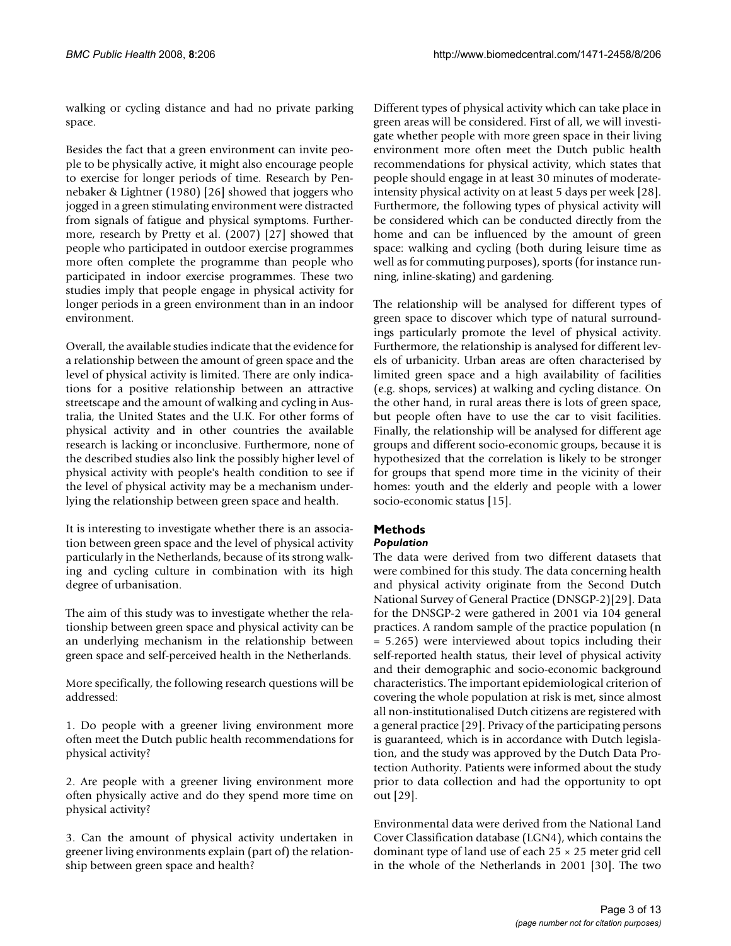walking or cycling distance and had no private parking space.

Besides the fact that a green environment can invite people to be physically active, it might also encourage people to exercise for longer periods of time. Research by Pennebaker & Lightner (1980) [26] showed that joggers who jogged in a green stimulating environment were distracted from signals of fatigue and physical symptoms. Furthermore, research by Pretty et al. (2007) [27] showed that people who participated in outdoor exercise programmes more often complete the programme than people who participated in indoor exercise programmes. These two studies imply that people engage in physical activity for longer periods in a green environment than in an indoor environment.

Overall, the available studies indicate that the evidence for a relationship between the amount of green space and the level of physical activity is limited. There are only indications for a positive relationship between an attractive streetscape and the amount of walking and cycling in Australia, the United States and the U.K. For other forms of physical activity and in other countries the available research is lacking or inconclusive. Furthermore, none of the described studies also link the possibly higher level of physical activity with people's health condition to see if the level of physical activity may be a mechanism underlying the relationship between green space and health.

It is interesting to investigate whether there is an association between green space and the level of physical activity particularly in the Netherlands, because of its strong walking and cycling culture in combination with its high degree of urbanisation.

The aim of this study was to investigate whether the relationship between green space and physical activity can be an underlying mechanism in the relationship between green space and self-perceived health in the Netherlands.

More specifically, the following research questions will be addressed:

1. Do people with a greener living environment more often meet the Dutch public health recommendations for physical activity?

2. Are people with a greener living environment more often physically active and do they spend more time on physical activity?

3. Can the amount of physical activity undertaken in greener living environments explain (part of) the relationship between green space and health?

Different types of physical activity which can take place in green areas will be considered. First of all, we will investigate whether people with more green space in their living environment more often meet the Dutch public health recommendations for physical activity, which states that people should engage in at least 30 minutes of moderateintensity physical activity on at least 5 days per week [28]. Furthermore, the following types of physical activity will be considered which can be conducted directly from the home and can be influenced by the amount of green space: walking and cycling (both during leisure time as well as for commuting purposes), sports (for instance running, inline-skating) and gardening.

The relationship will be analysed for different types of green space to discover which type of natural surroundings particularly promote the level of physical activity. Furthermore, the relationship is analysed for different levels of urbanicity. Urban areas are often characterised by limited green space and a high availability of facilities (e.g. shops, services) at walking and cycling distance. On the other hand, in rural areas there is lots of green space, but people often have to use the car to visit facilities. Finally, the relationship will be analysed for different age groups and different socio-economic groups, because it is hypothesized that the correlation is likely to be stronger for groups that spend more time in the vicinity of their homes: youth and the elderly and people with a lower socio-economic status [15].

## **Methods**

## *Population*

The data were derived from two different datasets that were combined for this study. The data concerning health and physical activity originate from the Second Dutch National Survey of General Practice (DNSGP-2)[29]. Data for the DNSGP-2 were gathered in 2001 via 104 general practices. A random sample of the practice population (n = 5.265) were interviewed about topics including their self-reported health status, their level of physical activity and their demographic and socio-economic background characteristics. The important epidemiological criterion of covering the whole population at risk is met, since almost all non-institutionalised Dutch citizens are registered with a general practice [29]. Privacy of the participating persons is guaranteed, which is in accordance with Dutch legislation, and the study was approved by the Dutch Data Protection Authority. Patients were informed about the study prior to data collection and had the opportunity to opt out [29].

Environmental data were derived from the National Land Cover Classification database (LGN4), which contains the dominant type of land use of each 25 × 25 meter grid cell in the whole of the Netherlands in 2001 [30]. The two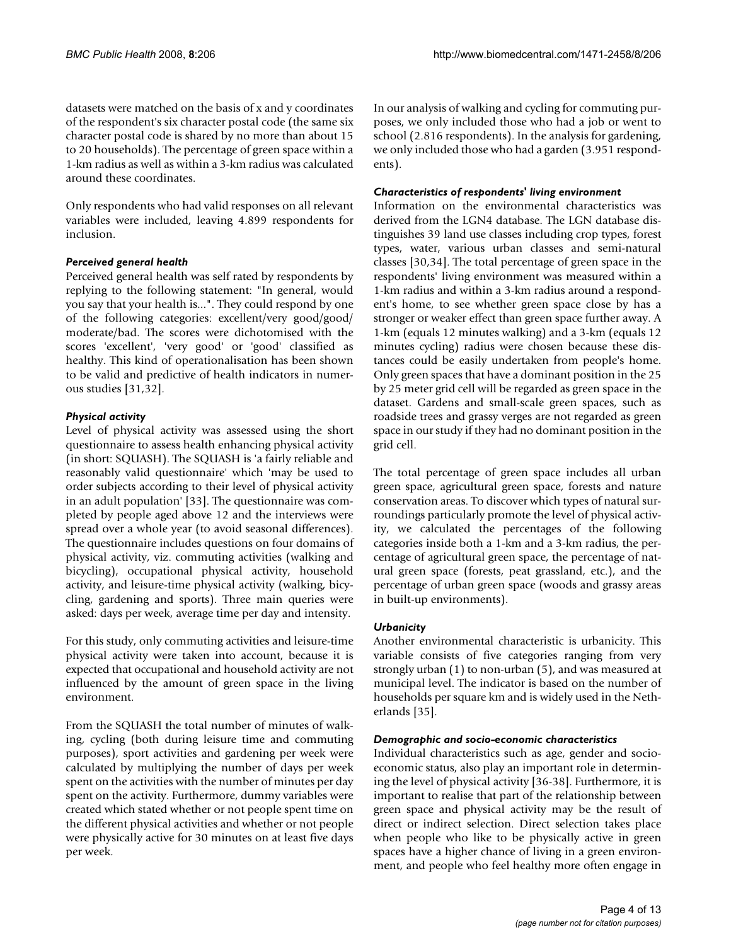datasets were matched on the basis of x and y coordinates of the respondent's six character postal code (the same six character postal code is shared by no more than about 15 to 20 households). The percentage of green space within a 1-km radius as well as within a 3-km radius was calculated around these coordinates.

Only respondents who had valid responses on all relevant variables were included, leaving 4.899 respondents for inclusion.

## *Perceived general health*

Perceived general health was self rated by respondents by replying to the following statement: "In general, would you say that your health is...". They could respond by one of the following categories: excellent/very good/good/ moderate/bad. The scores were dichotomised with the scores 'excellent', 'very good' or 'good' classified as healthy. This kind of operationalisation has been shown to be valid and predictive of health indicators in numerous studies [31,32].

## *Physical activity*

Level of physical activity was assessed using the short questionnaire to assess health enhancing physical activity (in short: SQUASH). The SQUASH is 'a fairly reliable and reasonably valid questionnaire' which 'may be used to order subjects according to their level of physical activity in an adult population' [33]. The questionnaire was completed by people aged above 12 and the interviews were spread over a whole year (to avoid seasonal differences). The questionnaire includes questions on four domains of physical activity, viz. commuting activities (walking and bicycling), occupational physical activity, household activity, and leisure-time physical activity (walking, bicycling, gardening and sports). Three main queries were asked: days per week, average time per day and intensity.

For this study, only commuting activities and leisure-time physical activity were taken into account, because it is expected that occupational and household activity are not influenced by the amount of green space in the living environment.

From the SQUASH the total number of minutes of walking, cycling (both during leisure time and commuting purposes), sport activities and gardening per week were calculated by multiplying the number of days per week spent on the activities with the number of minutes per day spent on the activity. Furthermore, dummy variables were created which stated whether or not people spent time on the different physical activities and whether or not people were physically active for 30 minutes on at least five days per week.

In our analysis of walking and cycling for commuting purposes, we only included those who had a job or went to school (2.816 respondents). In the analysis for gardening, we only included those who had a garden (3.951 respondents).

#### *Characteristics of respondents' living environment*

Information on the environmental characteristics was derived from the LGN4 database. The LGN database distinguishes 39 land use classes including crop types, forest types, water, various urban classes and semi-natural classes [30,34]. The total percentage of green space in the respondents' living environment was measured within a 1-km radius and within a 3-km radius around a respondent's home, to see whether green space close by has a stronger or weaker effect than green space further away. A 1-km (equals 12 minutes walking) and a 3-km (equals 12 minutes cycling) radius were chosen because these distances could be easily undertaken from people's home. Only green spaces that have a dominant position in the 25 by 25 meter grid cell will be regarded as green space in the dataset. Gardens and small-scale green spaces, such as roadside trees and grassy verges are not regarded as green space in our study if they had no dominant position in the grid cell.

The total percentage of green space includes all urban green space, agricultural green space, forests and nature conservation areas. To discover which types of natural surroundings particularly promote the level of physical activity, we calculated the percentages of the following categories inside both a 1-km and a 3-km radius, the percentage of agricultural green space, the percentage of natural green space (forests, peat grassland, etc.), and the percentage of urban green space (woods and grassy areas in built-up environments).

#### *Urbanicity*

Another environmental characteristic is urbanicity. This variable consists of five categories ranging from very strongly urban (1) to non-urban (5), and was measured at municipal level. The indicator is based on the number of households per square km and is widely used in the Netherlands [35].

#### *Demographic and socio-economic characteristics*

Individual characteristics such as age, gender and socioeconomic status, also play an important role in determining the level of physical activity [36-38]. Furthermore, it is important to realise that part of the relationship between green space and physical activity may be the result of direct or indirect selection. Direct selection takes place when people who like to be physically active in green spaces have a higher chance of living in a green environment, and people who feel healthy more often engage in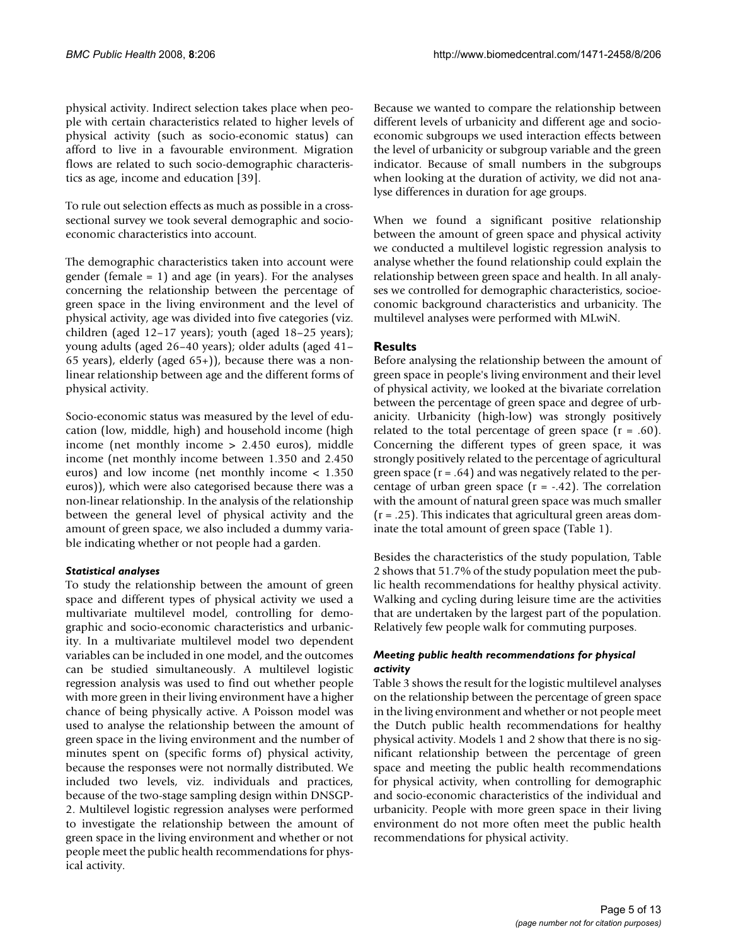physical activity. Indirect selection takes place when people with certain characteristics related to higher levels of physical activity (such as socio-economic status) can afford to live in a favourable environment. Migration flows are related to such socio-demographic characteristics as age, income and education [39].

To rule out selection effects as much as possible in a crosssectional survey we took several demographic and socioeconomic characteristics into account.

The demographic characteristics taken into account were gender (female  $= 1$ ) and age (in years). For the analyses concerning the relationship between the percentage of green space in the living environment and the level of physical activity, age was divided into five categories (viz. children (aged 12–17 years); youth (aged 18–25 years); young adults (aged 26–40 years); older adults (aged 41– 65 years), elderly (aged  $(65+)$ ), because there was a nonlinear relationship between age and the different forms of physical activity.

Socio-economic status was measured by the level of education (low, middle, high) and household income (high income (net monthly income > 2.450 euros), middle income (net monthly income between 1.350 and 2.450 euros) and low income (net monthly income < 1.350 euros)), which were also categorised because there was a non-linear relationship. In the analysis of the relationship between the general level of physical activity and the amount of green space, we also included a dummy variable indicating whether or not people had a garden.

## *Statistical analyses*

To study the relationship between the amount of green space and different types of physical activity we used a multivariate multilevel model, controlling for demographic and socio-economic characteristics and urbanicity. In a multivariate multilevel model two dependent variables can be included in one model, and the outcomes can be studied simultaneously. A multilevel logistic regression analysis was used to find out whether people with more green in their living environment have a higher chance of being physically active. A Poisson model was used to analyse the relationship between the amount of green space in the living environment and the number of minutes spent on (specific forms of) physical activity, because the responses were not normally distributed. We included two levels, viz. individuals and practices, because of the two-stage sampling design within DNSGP-2. Multilevel logistic regression analyses were performed to investigate the relationship between the amount of green space in the living environment and whether or not people meet the public health recommendations for physical activity.

Because we wanted to compare the relationship between different levels of urbanicity and different age and socioeconomic subgroups we used interaction effects between the level of urbanicity or subgroup variable and the green indicator. Because of small numbers in the subgroups when looking at the duration of activity, we did not analyse differences in duration for age groups.

When we found a significant positive relationship between the amount of green space and physical activity we conducted a multilevel logistic regression analysis to analyse whether the found relationship could explain the relationship between green space and health. In all analyses we controlled for demographic characteristics, socioeconomic background characteristics and urbanicity. The multilevel analyses were performed with MLwiN.

## **Results**

Before analysing the relationship between the amount of green space in people's living environment and their level of physical activity, we looked at the bivariate correlation between the percentage of green space and degree of urbanicity. Urbanicity (high-low) was strongly positively related to the total percentage of green space  $(r = .60)$ . Concerning the different types of green space, it was strongly positively related to the percentage of agricultural green space  $(r = .64)$  and was negatively related to the percentage of urban green space  $(r = -.42)$ . The correlation with the amount of natural green space was much smaller  $(r = .25)$ . This indicates that agricultural green areas dominate the total amount of green space (Table 1).

Besides the characteristics of the study population, Table 2 shows that 51.7% of the study population meet the public health recommendations for healthy physical activity. Walking and cycling during leisure time are the activities that are undertaken by the largest part of the population. Relatively few people walk for commuting purposes.

## *Meeting public health recommendations for physical activity*

Table 3 shows the result for the logistic multilevel analyses on the relationship between the percentage of green space in the living environment and whether or not people meet the Dutch public health recommendations for healthy physical activity. Models 1 and 2 show that there is no significant relationship between the percentage of green space and meeting the public health recommendations for physical activity, when controlling for demographic and socio-economic characteristics of the individual and urbanicity. People with more green space in their living environment do not more often meet the public health recommendations for physical activity.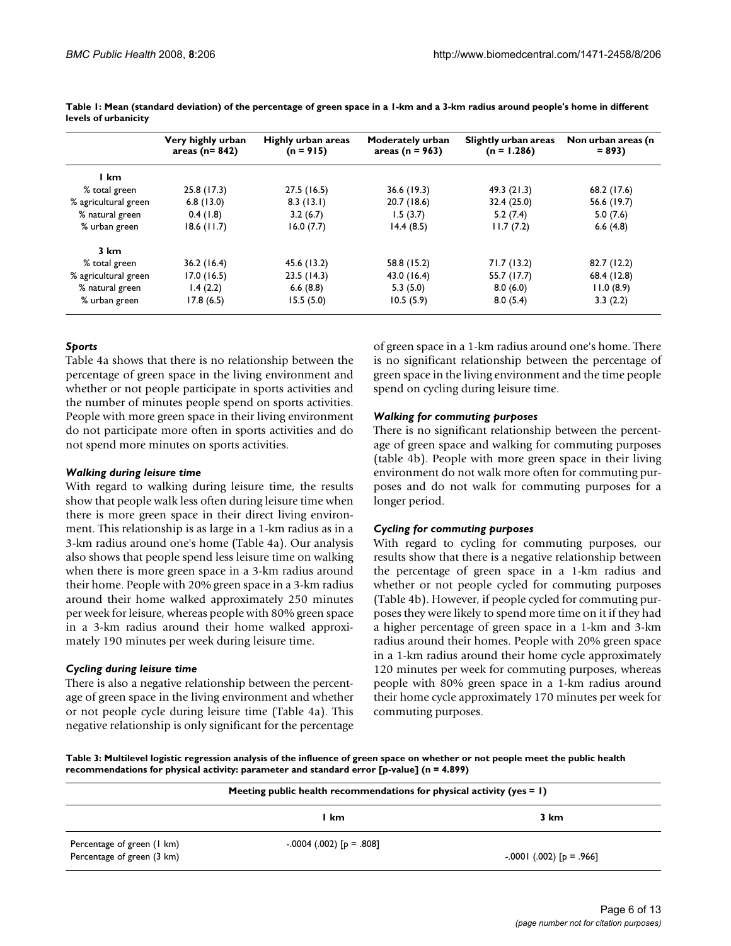|                      | Very highly urban<br>areas ( $n = 842$ ) | Highly urban areas<br>$(n = 915)$ | Moderately urban<br>areas ( $n = 963$ ) | Slightly urban areas<br>$(n = 1.286)$ | Non urban areas (n<br>$= 893$ |
|----------------------|------------------------------------------|-----------------------------------|-----------------------------------------|---------------------------------------|-------------------------------|
| l km                 |                                          |                                   |                                         |                                       |                               |
| % total green        | 25.8(17.3)                               | 27.5(16.5)                        | 36.6 (19.3)                             | 49.3(21.3)                            | 68.2 (17.6)                   |
| % agricultural green | 6.8(13.0)                                | 8.3(13.1)                         | 20.7 (18.6)                             | 32.4 (25.0)                           | 56.6 (19.7)                   |
| % natural green      | 0.4(1.8)                                 | 3.2(6.7)                          | 1.5(3.7)                                | 5.2(7.4)                              | 5.0(7.6)                      |
| % urban green        | $18.6$ (11.7)                            | 16.0(7.7)                         | 14.4(8.5)                               | 11.7(7.2)                             | 6.6(4.8)                      |
| 3 km                 |                                          |                                   |                                         |                                       |                               |
| % total green        | 36.2(16.4)                               | 45.6 (13.2)                       | 58.8 (15.2)                             | 71.7 (13.2)                           | 82.7(12.2)                    |
| % agricultural green | 17.0(16.5)                               | 23.5(14.3)                        | 43.0 (16.4)                             | 55.7 (17.7)                           | 68.4 (12.8)                   |
| % natural green      | 1.4(2.2)                                 | 6.6(8.8)                          | 5.3(5.0)                                | 8.0(6.0)                              | 11.0(8.9)                     |
| % urban green        | 17.8(6.5)                                | 15.5(5.0)                         | 10.5(5.9)                               | 8.0(5.4)                              | 3.3(2.2)                      |

**Table 1: Mean (standard deviation) of the percentage of green space in a 1-km and a 3-km radius around people's home in different levels of urbanicity**

## *Sports*

Table 4a shows that there is no relationship between the percentage of green space in the living environment and whether or not people participate in sports activities and the number of minutes people spend on sports activities. People with more green space in their living environment do not participate more often in sports activities and do not spend more minutes on sports activities.

## *Walking during leisure time*

With regard to walking during leisure time, the results show that people walk less often during leisure time when there is more green space in their direct living environment. This relationship is as large in a 1-km radius as in a 3-km radius around one's home (Table 4a). Our analysis also shows that people spend less leisure time on walking when there is more green space in a 3-km radius around their home. People with 20% green space in a 3-km radius around their home walked approximately 250 minutes per week for leisure, whereas people with 80% green space in a 3-km radius around their home walked approximately 190 minutes per week during leisure time.

## *Cycling during leisure time*

There is also a negative relationship between the percentage of green space in the living environment and whether or not people cycle during leisure time (Table 4a). This negative relationship is only significant for the percentage of green space in a 1-km radius around one's home. There is no significant relationship between the percentage of green space in the living environment and the time people spend on cycling during leisure time.

## *Walking for commuting purposes*

There is no significant relationship between the percentage of green space and walking for commuting purposes (table 4b). People with more green space in their living environment do not walk more often for commuting purposes and do not walk for commuting purposes for a longer period.

## *Cycling for commuting purposes*

With regard to cycling for commuting purposes, our results show that there is a negative relationship between the percentage of green space in a 1-km radius and whether or not people cycled for commuting purposes (Table 4b). However, if people cycled for commuting purposes they were likely to spend more time on it if they had a higher percentage of green space in a 1-km and 3-km radius around their homes. People with 20% green space in a 1-km radius around their home cycle approximately 120 minutes per week for commuting purposes, whereas people with 80% green space in a 1-km radius around their home cycle approximately 170 minutes per week for commuting purposes.

**Table 3: Multilevel logistic regression analysis of the influence of green space on whether or not people meet the public health recommendations for physical activity: parameter and standard error [p-value] (n = 4.899)**

|                                                          | Meeting public health recommendations for physical activity (yes $= 1$ ) |                            |  |  |
|----------------------------------------------------------|--------------------------------------------------------------------------|----------------------------|--|--|
|                                                          | km                                                                       | 3 km                       |  |  |
| Percentage of green (1 km)<br>Percentage of green (3 km) | $-0.004$ (.002) [p = 0.808]                                              | $-0.001$ (.002) [p = .966] |  |  |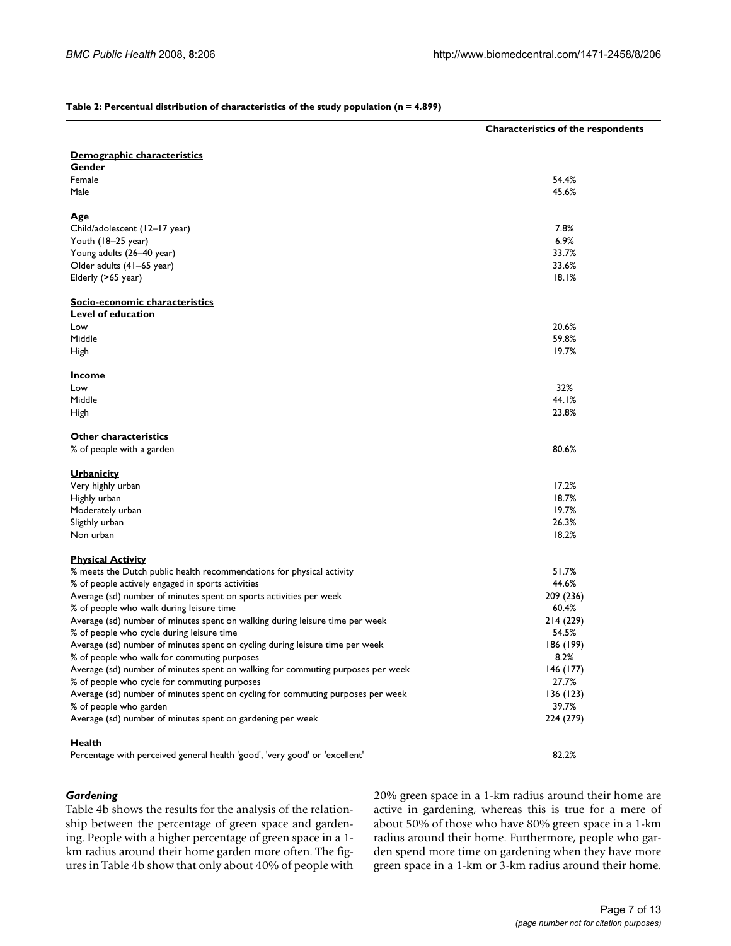#### **Table 2: Percentual distribution of characteristics of the study population (n = 4.899)**

|                                                                                 | Characteristics of the respondents |
|---------------------------------------------------------------------------------|------------------------------------|
| Demographic characteristics                                                     |                                    |
| Gender                                                                          |                                    |
| Female                                                                          | 54.4%                              |
| Male                                                                            | 45.6%                              |
| Age                                                                             |                                    |
| Child/adolescent (12–17 year)                                                   | 7.8%                               |
| Youth (18-25 year)                                                              | 6.9%                               |
| Young adults (26-40 year)                                                       | 33.7%                              |
| Older adults (41-65 year)                                                       | 33.6%                              |
| Elderly (>65 year)                                                              | 18.1%                              |
| Socio-economic characteristics                                                  |                                    |
| <b>Level of education</b>                                                       |                                    |
| Low                                                                             | 20.6%                              |
| Middle                                                                          | 59.8%                              |
| High                                                                            | 19.7%                              |
| <b>Income</b>                                                                   |                                    |
| Low                                                                             | 32%                                |
| Middle                                                                          | 44.I%                              |
| High                                                                            | 23.8%                              |
| Other characteristics                                                           |                                    |
| % of people with a garden                                                       | 80.6%                              |
| <u>Urbanicity</u>                                                               |                                    |
| Very highly urban                                                               | 17.2%                              |
| Highly urban                                                                    | 18.7%                              |
| Moderately urban                                                                | 19.7%                              |
| Sligthly urban                                                                  | 26.3%                              |
| Non urban                                                                       | 18.2%                              |
| <b>Physical Activity</b>                                                        |                                    |
| % meets the Dutch public health recommendations for physical activity           | 51.7%                              |
| % of people actively engaged in sports activities                               | 44.6%                              |
| Average (sd) number of minutes spent on sports activities per week              | 209 (236)                          |
| % of people who walk during leisure time                                        | 60.4%                              |
| Average (sd) number of minutes spent on walking during leisure time per week    | 214 (229)                          |
| % of people who cycle during leisure time                                       | 54.5%                              |
| Average (sd) number of minutes spent on cycling during leisure time per week    | 186 (199)                          |
| % of people who walk for commuting purposes                                     | 8.2%                               |
| Average (sd) number of minutes spent on walking for commuting purposes per week | 146 (177)                          |
| % of people who cycle for commuting purposes                                    | 27.7%                              |
| Average (sd) number of minutes spent on cycling for commuting purposes per week | 136(123)                           |
| % of people who garden                                                          | 39.7%                              |
| Average (sd) number of minutes spent on gardening per week                      | 224 (279)                          |
| Health                                                                          |                                    |
| Percentage with perceived general health 'good', 'very good' or 'excellent'     | 82.2%                              |

#### *Gardening*

Table 4b shows the results for the analysis of the relationship between the percentage of green space and gardening. People with a higher percentage of green space in a 1 km radius around their home garden more often. The figures in Table 4b show that only about 40% of people with

20% green space in a 1-km radius around their home are active in gardening, whereas this is true for a mere of about 50% of those who have 80% green space in a 1-km radius around their home. Furthermore, people who garden spend more time on gardening when they have more green space in a 1-km or 3-km radius around their home.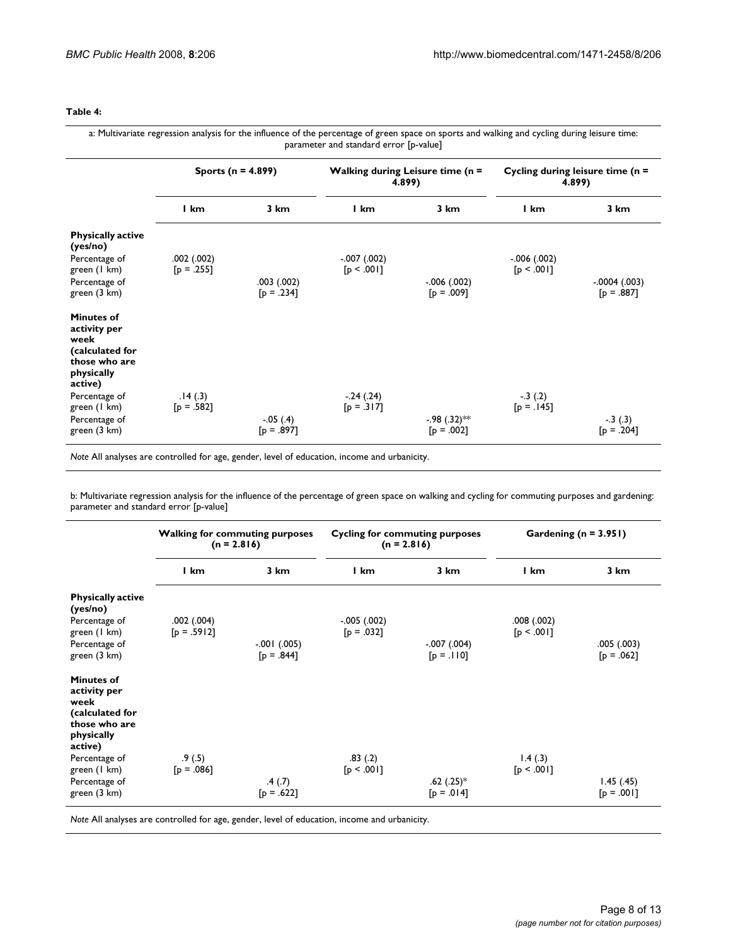#### **Table 4:**

a: Multivariate regression analysis for the influence of the percentage of green space on sports and walking and cycling during leisure time: parameter and standard error [p-value] **Sports (n = 4.899) Walking during Leisure time (n = 4.899) Cycling during leisure time (n = 4.899) 1 km 3 km 1 km 3 km 1 km 3 km Physically active (yes/no)** Percentage of green (1 km) .002 (.002)  $[p = .255]$ -.007 (.002)  $[p < .001]$ -.006 (.002)  $[p < .001]$ Percentage of green (3 km) .003 (.002)  $[p = .234]$ -.006 (.002)  $[p = .009]$ -.0004 (.003)  $[p = .887]$ **Minutes of activity per week (calculated for those who are physically active)** Percentage of green (1 km) .14 (.3)  $[p = .582]$ -.24 (.24)  $[p = .317]$ -.3 (.2)  $[p = 145]$ Percentage of green (3 km)  $-.05(.4)$  $[p = .897]$  $-.98(.32)$ \*\*  $[p = .002]$ -.3 (.3)  $[p = .204]$ 

*Note* All analyses are controlled for age, gender, level of education, income and urbanicity.

b: Multivariate regression analysis for the influence of the percentage of green space on walking and cycling for commuting purposes and gardening: parameter and standard error [p-value]

|                                                                                             | <b>Walking for commuting purposes</b><br>$(n = 2.816)$ |                                  | <b>Cycling for commuting purposes</b><br>$(n = 2.816)$ |                                  | Gardening $(n = 3.951)$ |                            |
|---------------------------------------------------------------------------------------------|--------------------------------------------------------|----------------------------------|--------------------------------------------------------|----------------------------------|-------------------------|----------------------------|
|                                                                                             | I km                                                   | 3 km                             | I km                                                   | 3 km                             | I km                    | 3 km                       |
| <b>Physically active</b><br>(yes/no)                                                        |                                                        |                                  |                                                        |                                  |                         |                            |
| Percentage of<br>green (1 km)                                                               | $.002$ $(.004)$<br>$[p = .5912]$                       |                                  | $-.005(.002)$<br>$[p = .032]$                          |                                  | .008(.002)<br>p < .001  |                            |
| Percentage of<br>green (3 km)                                                               |                                                        | $-.001$ $(.005)$<br>$[p = .844]$ |                                                        | $-.007$ $(.004)$<br>$[p = .110]$ |                         | .005(.003)<br>$[p = .062]$ |
| <b>Minutes of</b><br>activity per<br>week<br>(calculated for<br>those who are<br>physically |                                                        |                                  |                                                        |                                  |                         |                            |
| active)                                                                                     |                                                        |                                  |                                                        |                                  |                         |                            |
| Percentage of<br>green (1 km)                                                               | .9(.5)<br>$[p = .086]$                                 |                                  | .83(.2)<br>p < .001                                    |                                  | 1.4(.3)<br>p < .001     |                            |
| Percentage of<br>green (3 km)                                                               |                                                        | .4(0.7)<br>$[p = .622]$          |                                                        | $.62$ $(.25)*$<br>$[p = .014]$   |                         | 1.45(.45)<br>$[p = .001]$  |

*Note* All analyses are controlled for age, gender, level of education, income and urbanicity.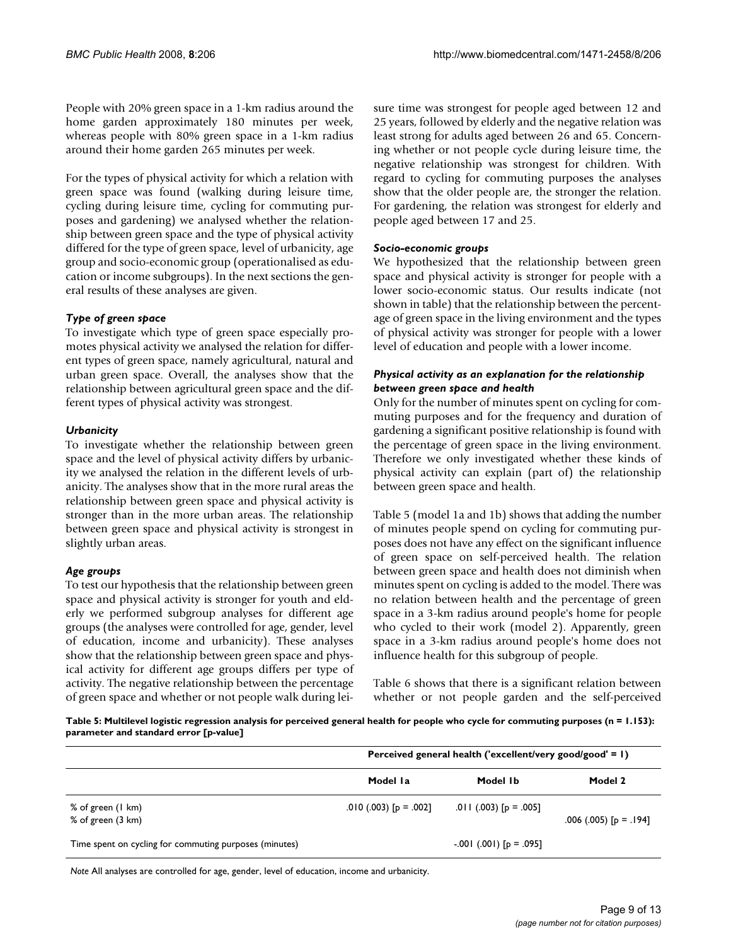People with 20% green space in a 1-km radius around the home garden approximately 180 minutes per week, whereas people with 80% green space in a 1-km radius around their home garden 265 minutes per week.

For the types of physical activity for which a relation with green space was found (walking during leisure time, cycling during leisure time, cycling for commuting purposes and gardening) we analysed whether the relationship between green space and the type of physical activity differed for the type of green space, level of urbanicity, age group and socio-economic group (operationalised as education or income subgroups). In the next sections the general results of these analyses are given.

## *Type of green space*

To investigate which type of green space especially promotes physical activity we analysed the relation for different types of green space, namely agricultural, natural and urban green space. Overall, the analyses show that the relationship between agricultural green space and the different types of physical activity was strongest.

## *Urbanicity*

To investigate whether the relationship between green space and the level of physical activity differs by urbanicity we analysed the relation in the different levels of urbanicity. The analyses show that in the more rural areas the relationship between green space and physical activity is stronger than in the more urban areas. The relationship between green space and physical activity is strongest in slightly urban areas.

## *Age groups*

To test our hypothesis that the relationship between green space and physical activity is stronger for youth and elderly we performed subgroup analyses for different age groups (the analyses were controlled for age, gender, level of education, income and urbanicity). These analyses show that the relationship between green space and physical activity for different age groups differs per type of activity. The negative relationship between the percentage of green space and whether or not people walk during leisure time was strongest for people aged between 12 and 25 years, followed by elderly and the negative relation was least strong for adults aged between 26 and 65. Concerning whether or not people cycle during leisure time, the negative relationship was strongest for children. With regard to cycling for commuting purposes the analyses show that the older people are, the stronger the relation. For gardening, the relation was strongest for elderly and people aged between 17 and 25.

## *Socio-economic groups*

We hypothesized that the relationship between green space and physical activity is stronger for people with a lower socio-economic status. Our results indicate (not shown in table) that the relationship between the percentage of green space in the living environment and the types of physical activity was stronger for people with a lower level of education and people with a lower income.

## *Physical activity as an explanation for the relationship between green space and health*

Only for the number of minutes spent on cycling for commuting purposes and for the frequency and duration of gardening a significant positive relationship is found with the percentage of green space in the living environment. Therefore we only investigated whether these kinds of physical activity can explain (part of) the relationship between green space and health.

Table 5 (model 1a and 1b) shows that adding the number of minutes people spend on cycling for commuting purposes does not have any effect on the significant influence of green space on self-perceived health. The relation between green space and health does not diminish when minutes spent on cycling is added to the model. There was no relation between health and the percentage of green space in a 3-km radius around people's home for people who cycled to their work (model 2). Apparently, green space in a 3-km radius around people's home does not influence health for this subgroup of people.

Table 6 shows that there is a significant relation between whether or not people garden and the self-perceived

**Table 5: Multilevel logistic regression analysis for perceived general health for people who cycle for commuting purposes (n = 1.153): parameter and standard error [p-value]**

|                                                        | Perceived general health ('excellent/very good/good' = $\vert$ ) |                            |                          |  |
|--------------------------------------------------------|------------------------------------------------------------------|----------------------------|--------------------------|--|
|                                                        | Model la                                                         | Model 1b                   | Model 2                  |  |
| % of green (1 km)<br>% of green (3 km)                 | $.010(.003)$ [p = .002]                                          | .011 (.003) [p = .005]     | $.006$ (.005) [p = .194] |  |
| Time spent on cycling for commuting purposes (minutes) |                                                                  | $-0.001(0.001)$ [p = 0.05] |                          |  |

*Note* All analyses are controlled for age, gender, level of education, income and urbanicity.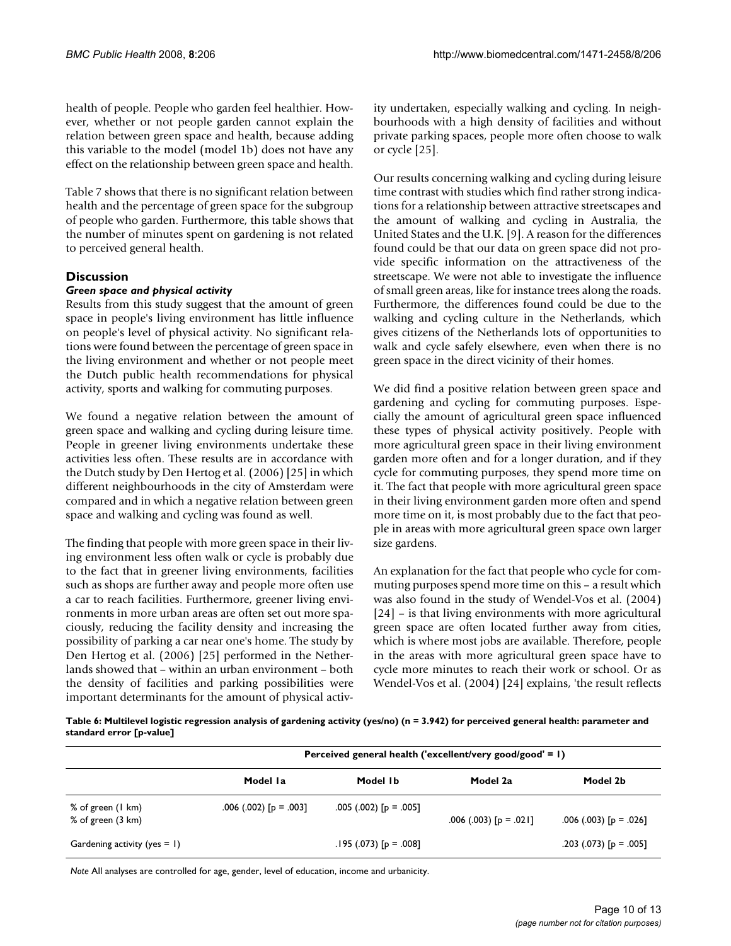health of people. People who garden feel healthier. However, whether or not people garden cannot explain the relation between green space and health, because adding this variable to the model (model 1b) does not have any effect on the relationship between green space and health.

Table 7 shows that there is no significant relation between health and the percentage of green space for the subgroup of people who garden. Furthermore, this table shows that the number of minutes spent on gardening is not related to perceived general health.

## **Discussion**

## *Green space and physical activity*

Results from this study suggest that the amount of green space in people's living environment has little influence on people's level of physical activity. No significant relations were found between the percentage of green space in the living environment and whether or not people meet the Dutch public health recommendations for physical activity, sports and walking for commuting purposes.

We found a negative relation between the amount of green space and walking and cycling during leisure time. People in greener living environments undertake these activities less often. These results are in accordance with the Dutch study by Den Hertog et al. (2006) [25] in which different neighbourhoods in the city of Amsterdam were compared and in which a negative relation between green space and walking and cycling was found as well.

The finding that people with more green space in their living environment less often walk or cycle is probably due to the fact that in greener living environments, facilities such as shops are further away and people more often use a car to reach facilities. Furthermore, greener living environments in more urban areas are often set out more spaciously, reducing the facility density and increasing the possibility of parking a car near one's home. The study by Den Hertog et al. (2006) [25] performed in the Netherlands showed that – within an urban environment – both the density of facilities and parking possibilities were important determinants for the amount of physical activity undertaken, especially walking and cycling. In neighbourhoods with a high density of facilities and without private parking spaces, people more often choose to walk or cycle [25].

Our results concerning walking and cycling during leisure time contrast with studies which find rather strong indications for a relationship between attractive streetscapes and the amount of walking and cycling in Australia, the United States and the U.K. [9]. A reason for the differences found could be that our data on green space did not provide specific information on the attractiveness of the streetscape. We were not able to investigate the influence of small green areas, like for instance trees along the roads. Furthermore, the differences found could be due to the walking and cycling culture in the Netherlands, which gives citizens of the Netherlands lots of opportunities to walk and cycle safely elsewhere, even when there is no green space in the direct vicinity of their homes.

We did find a positive relation between green space and gardening and cycling for commuting purposes. Especially the amount of agricultural green space influenced these types of physical activity positively. People with more agricultural green space in their living environment garden more often and for a longer duration, and if they cycle for commuting purposes, they spend more time on it. The fact that people with more agricultural green space in their living environment garden more often and spend more time on it, is most probably due to the fact that people in areas with more agricultural green space own larger size gardens.

An explanation for the fact that people who cycle for commuting purposes spend more time on this – a result which was also found in the study of Wendel-Vos et al. (2004) [24] – is that living environments with more agricultural green space are often located further away from cities, which is where most jobs are available. Therefore, people in the areas with more agricultural green space have to cycle more minutes to reach their work or school. Or as Wendel-Vos et al. (2004) [24] explains, 'the result reflects

**Table 6: Multilevel logistic regression analysis of gardening activity (yes/no) (n = 3.942) for perceived general health: parameter and standard error [p-value]**

|                                        | Perceived general health ('excellent/very good/good' = 1) |                          |                          |                          |
|----------------------------------------|-----------------------------------------------------------|--------------------------|--------------------------|--------------------------|
|                                        | Model la                                                  | Model 1b                 | Model 2a                 | Model 2b                 |
| % of green (1 km)<br>% of green (3 km) | $.006$ (.002) [p = .003]                                  | $.005$ (.002) [p = .005] | $.006$ (.003) [p = .021] | $.006$ (.003) [p = .026] |
| Gardening activity (yes $= 1$ )        |                                                           | $.195$ (.073) [p = .008] |                          | .203 (.073) $[p = .005]$ |

*Note* All analyses are controlled for age, gender, level of education, income and urbanicity.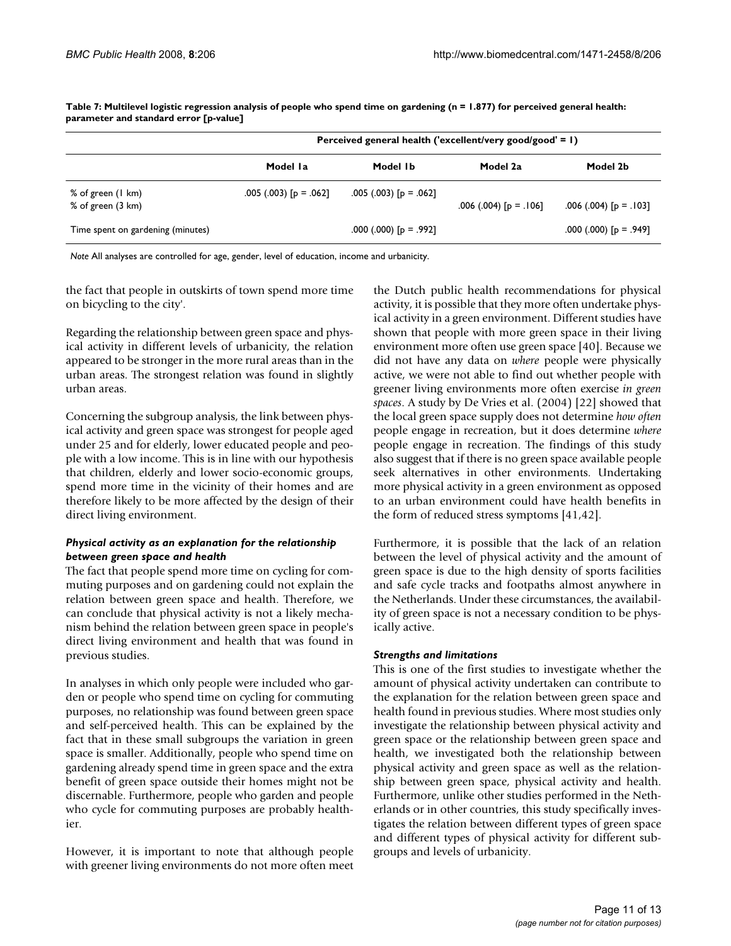|                                        | Perceived general health ('excellent/very good/good' = $\vert \cdot \vert$ ) |                              |                               |                               |
|----------------------------------------|------------------------------------------------------------------------------|------------------------------|-------------------------------|-------------------------------|
|                                        | Model Ia                                                                     | Model 1b                     | Model 2a                      | Model 2b                      |
| % of green (1 km)<br>% of green (3 km) | $.005$ (.003) [p = .062]                                                     | $.005$ (.003) [p = .062]     | $.006$ $(.004)$ [p = $.106$ ] | $.006$ $(.004)$ [p = $.103$ ] |
| Time spent on gardening (minutes)      |                                                                              | $.000$ $(.000)$ $[p = .992]$ |                               | $.000$ $(.000)$ $p = .949$    |

**Table 7: Multilevel logistic regression analysis of people who spend time on gardening (n = 1.877) for perceived general health: parameter and standard error [p-value]**

*Note* All analyses are controlled for age, gender, level of education, income and urbanicity.

the fact that people in outskirts of town spend more time on bicycling to the city'.

Regarding the relationship between green space and physical activity in different levels of urbanicity, the relation appeared to be stronger in the more rural areas than in the urban areas. The strongest relation was found in slightly urban areas.

Concerning the subgroup analysis, the link between physical activity and green space was strongest for people aged under 25 and for elderly, lower educated people and people with a low income. This is in line with our hypothesis that children, elderly and lower socio-economic groups, spend more time in the vicinity of their homes and are therefore likely to be more affected by the design of their direct living environment.

## *Physical activity as an explanation for the relationship between green space and health*

The fact that people spend more time on cycling for commuting purposes and on gardening could not explain the relation between green space and health. Therefore, we can conclude that physical activity is not a likely mechanism behind the relation between green space in people's direct living environment and health that was found in previous studies.

In analyses in which only people were included who garden or people who spend time on cycling for commuting purposes, no relationship was found between green space and self-perceived health. This can be explained by the fact that in these small subgroups the variation in green space is smaller. Additionally, people who spend time on gardening already spend time in green space and the extra benefit of green space outside their homes might not be discernable. Furthermore, people who garden and people who cycle for commuting purposes are probably healthier.

However, it is important to note that although people with greener living environments do not more often meet the Dutch public health recommendations for physical activity, it is possible that they more often undertake physical activity in a green environment. Different studies have shown that people with more green space in their living environment more often use green space [40]. Because we did not have any data on *where* people were physically active, we were not able to find out whether people with greener living environments more often exercise *in green spaces*. A study by De Vries et al. (2004) [22] showed that the local green space supply does not determine *how often* people engage in recreation, but it does determine *where* people engage in recreation. The findings of this study also suggest that if there is no green space available people seek alternatives in other environments. Undertaking more physical activity in a green environment as opposed to an urban environment could have health benefits in the form of reduced stress symptoms [41,42].

Furthermore, it is possible that the lack of an relation between the level of physical activity and the amount of green space is due to the high density of sports facilities and safe cycle tracks and footpaths almost anywhere in the Netherlands. Under these circumstances, the availability of green space is not a necessary condition to be physically active.

#### *Strengths and limitations*

This is one of the first studies to investigate whether the amount of physical activity undertaken can contribute to the explanation for the relation between green space and health found in previous studies. Where most studies only investigate the relationship between physical activity and green space or the relationship between green space and health, we investigated both the relationship between physical activity and green space as well as the relationship between green space, physical activity and health. Furthermore, unlike other studies performed in the Netherlands or in other countries, this study specifically investigates the relation between different types of green space and different types of physical activity for different subgroups and levels of urbanicity.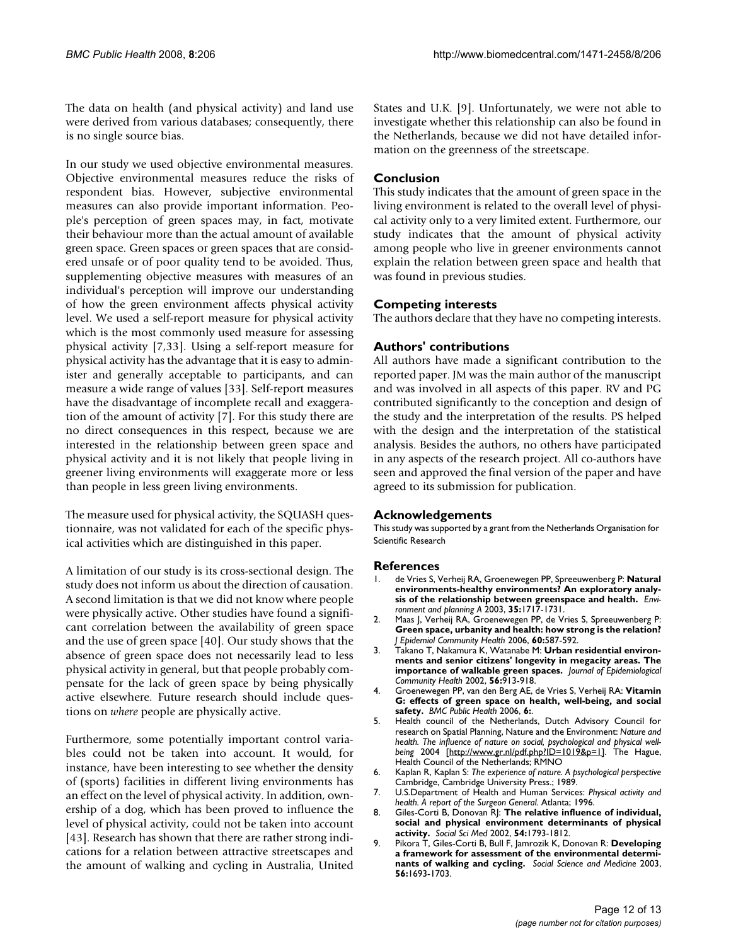The data on health (and physical activity) and land use were derived from various databases; consequently, there is no single source bias.

In our study we used objective environmental measures. Objective environmental measures reduce the risks of respondent bias. However, subjective environmental measures can also provide important information. People's perception of green spaces may, in fact, motivate their behaviour more than the actual amount of available green space. Green spaces or green spaces that are considered unsafe or of poor quality tend to be avoided. Thus, supplementing objective measures with measures of an individual's perception will improve our understanding of how the green environment affects physical activity level. We used a self-report measure for physical activity which is the most commonly used measure for assessing physical activity [7,33]. Using a self-report measure for physical activity has the advantage that it is easy to administer and generally acceptable to participants, and can measure a wide range of values [33]. Self-report measures have the disadvantage of incomplete recall and exaggeration of the amount of activity [7]. For this study there are no direct consequences in this respect, because we are interested in the relationship between green space and physical activity and it is not likely that people living in greener living environments will exaggerate more or less than people in less green living environments.

The measure used for physical activity, the SQUASH questionnaire, was not validated for each of the specific physical activities which are distinguished in this paper.

A limitation of our study is its cross-sectional design. The study does not inform us about the direction of causation. A second limitation is that we did not know where people were physically active. Other studies have found a significant correlation between the availability of green space and the use of green space [40]. Our study shows that the absence of green space does not necessarily lead to less physical activity in general, but that people probably compensate for the lack of green space by being physically active elsewhere. Future research should include questions on *where* people are physically active.

Furthermore, some potentially important control variables could not be taken into account. It would, for instance, have been interesting to see whether the density of (sports) facilities in different living environments has an effect on the level of physical activity. In addition, ownership of a dog, which has been proved to influence the level of physical activity, could not be taken into account [43]. Research has shown that there are rather strong indications for a relation between attractive streetscapes and the amount of walking and cycling in Australia, United States and U.K. [9]. Unfortunately, we were not able to investigate whether this relationship can also be found in the Netherlands, because we did not have detailed information on the greenness of the streetscape.

## **Conclusion**

This study indicates that the amount of green space in the living environment is related to the overall level of physical activity only to a very limited extent. Furthermore, our study indicates that the amount of physical activity among people who live in greener environments cannot explain the relation between green space and health that was found in previous studies.

## **Competing interests**

The authors declare that they have no competing interests.

## **Authors' contributions**

All authors have made a significant contribution to the reported paper. JM was the main author of the manuscript and was involved in all aspects of this paper. RV and PG contributed significantly to the conception and design of the study and the interpretation of the results. PS helped with the design and the interpretation of the statistical analysis. Besides the authors, no others have participated in any aspects of the research project. All co-authors have seen and approved the final version of the paper and have agreed to its submission for publication.

## **Acknowledgements**

This study was supported by a grant from the Netherlands Organisation for Scientific Research

#### **References**

- 1. de Vries S, Verheij RA, Groenewegen PP, Spreeuwenberg P: **Natural environments-healthy environments? An exploratory analysis of the relationship between greenspace and health.** *Environment and planning A* 2003, **35:**1717-1731.
- 2. Maas J, Verheij RA, Groenewegen PP, de Vries S, Spreeuwenberg P: **[Green space, urbanity and health: how strong is the relation?](http://www.ncbi.nlm.nih.gov/entrez/query.fcgi?cmd=Retrieve&db=PubMed&dopt=Abstract&list_uids=16790830)** *J Epidemiol Community Health* 2006, **60:**587-592.
- 3. Takano T, Nakamura K, Watanabe M: **[Urban residential environ](http://www.ncbi.nlm.nih.gov/entrez/query.fcgi?cmd=Retrieve&db=PubMed&dopt=Abstract&list_uids=12461111)[ments and senior citizens' longevity in megacity areas. The](http://www.ncbi.nlm.nih.gov/entrez/query.fcgi?cmd=Retrieve&db=PubMed&dopt=Abstract&list_uids=12461111) [importance of walkable green spaces.](http://www.ncbi.nlm.nih.gov/entrez/query.fcgi?cmd=Retrieve&db=PubMed&dopt=Abstract&list_uids=12461111)** *Journal of Epidemiological Community Health* 2002, **56:**913-918.
- 4. Groenewegen PP, van den Berg AE, de Vries S, Verheij RA: **[Vitamin](http://www.ncbi.nlm.nih.gov/entrez/query.fcgi?cmd=Retrieve&db=PubMed&dopt=Abstract&list_uids=16759375) [G: effects of green space on health, well-being, and social](http://www.ncbi.nlm.nih.gov/entrez/query.fcgi?cmd=Retrieve&db=PubMed&dopt=Abstract&list_uids=16759375) [safety.](http://www.ncbi.nlm.nih.gov/entrez/query.fcgi?cmd=Retrieve&db=PubMed&dopt=Abstract&list_uids=16759375)** *BMC Public Health* 2006, **6:**.
- 5. Health council of the Netherlands, Dutch Advisory Council for research on Spatial Planning, Nature and the Environment: *Nature and health. The influence of nature on social, psychological and physical wellbeing* 2004 [\[http://www.gr.nl/pdf.php?ID=1019&p=1](http://www.gr.nl/pdf.php?ID=1019&p=1)]. The Hague, Health Council of the Netherlands; RMNO
- 6. Kaplan R, Kaplan S: *The experience of nature. A psychological perspective* Cambridge, Cambridge University Press.; 1989.
- 7. U.S.Department of Health and Human Services: *Physical activity and health. A report of the Surgeon General.* Atlanta; 1996.
- 8. Giles-Corti B, Donovan RJ: **The relative influence of individual, social and physical environment determinants of physical activity.** *Social Sci Med* 2002, **54:**1793-1812.
- 9. Pikora T, Giles-Corti B, Bull F, Jamrozik K, Donovan R: **[Developing](http://www.ncbi.nlm.nih.gov/entrez/query.fcgi?cmd=Retrieve&db=PubMed&dopt=Abstract&list_uids=12639586) [a framework for assessment of the environmental determi](http://www.ncbi.nlm.nih.gov/entrez/query.fcgi?cmd=Retrieve&db=PubMed&dopt=Abstract&list_uids=12639586)[nants of walking and cycling.](http://www.ncbi.nlm.nih.gov/entrez/query.fcgi?cmd=Retrieve&db=PubMed&dopt=Abstract&list_uids=12639586)** *Social Science and Medicine* 2003, **56:**1693-1703.